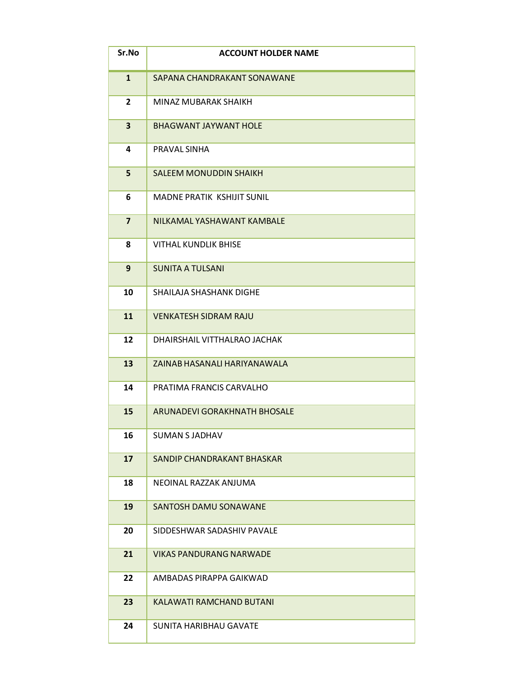| Sr.No                   | <b>ACCOUNT HOLDER NAME</b>        |
|-------------------------|-----------------------------------|
| $\mathbf{1}$            | SAPANA CHANDRAKANT SONAWANE       |
| $\overline{2}$          | MINAZ MUBARAK SHAIKH              |
| $\overline{\mathbf{3}}$ | <b>BHAGWANT JAYWANT HOLE</b>      |
| 4                       | PRAVAL SINHA                      |
| 5                       | <b>SALEEM MONUDDIN SHAIKH</b>     |
| 6                       | <b>MADNE PRATIK KSHIJIT SUNIL</b> |
| $\overline{7}$          | NILKAMAL YASHAWANT KAMBALE        |
| 8                       | <b>VITHAL KUNDLIK BHISE</b>       |
| 9                       | <b>SUNITA A TULSANI</b>           |
| 10                      | SHAILAJA SHASHANK DIGHE           |
| 11                      | <b>VENKATESH SIDRAM RAJU</b>      |
| 12                      | DHAIRSHAIL VITTHALRAO JACHAK      |
| 13                      | ZAINAB HASANALI HARIYANAWALA      |
| 14                      | PRATIMA FRANCIS CARVALHO          |
| 15                      | ARUNADEVI GORAKHNATH BHOSALE      |
| 16                      | <b>SUMAN S JADHAV</b>             |
| 17                      | SANDIP CHANDRAKANT BHASKAR        |
| 18                      | NEOINAL RAZZAK ANJUMA             |
| 19                      | SANTOSH DAMU SONAWANE             |
| 20                      | SIDDESHWAR SADASHIV PAVALE        |
| 21                      | <b>VIKAS PANDURANG NARWADE</b>    |
| 22                      | AMBADAS PIRAPPA GAIKWAD           |
| 23                      | KALAWATI RAMCHAND BUTANI          |
| 24                      | SUNITA HARIBHAU GAVATE            |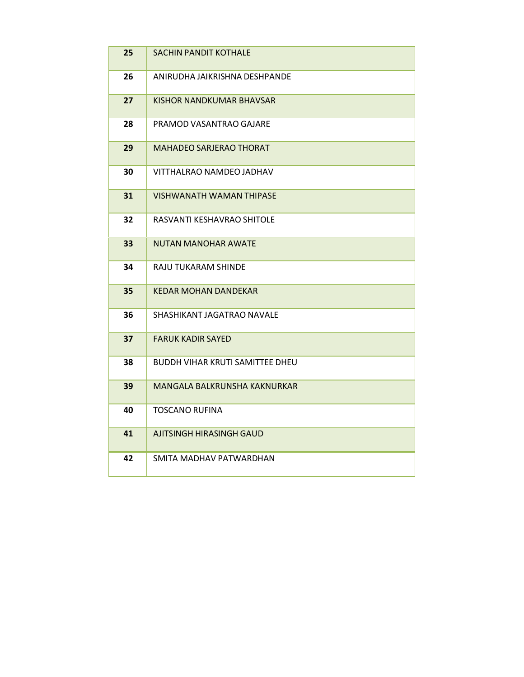| 25 | <b>SACHIN PANDIT KOTHALE</b>           |
|----|----------------------------------------|
| 26 | ANIRUDHA JAIKRISHNA DESHPANDE          |
| 27 | KISHOR NANDKUMAR BHAVSAR               |
| 28 | PRAMOD VASANTRAO GAJARE                |
| 29 | MAHADEO SARJERAO THORAT                |
| 30 | VITTHALRAO NAMDEO JADHAV               |
| 31 | VISHWANATH WAMAN THIPASE               |
| 32 | RASVANTI KESHAVRAO SHITOLE             |
| 33 | <b>NUTAN MANOHAR AWATE</b>             |
| 34 | RAJU TUKARAM SHINDE                    |
| 35 | <b>KEDAR MOHAN DANDEKAR</b>            |
| 36 | SHASHIKANT JAGATRAO NAVALE             |
| 37 | <b>FARUK KADIR SAYED</b>               |
| 38 | <b>BUDDH VIHAR KRUTI SAMITTEE DHEU</b> |
| 39 | MANGALA BALKRUNSHA KAKNURKAR           |
| 40 | <b>TOSCANO RUFINA</b>                  |
| 41 | AJITSINGH HIRASINGH GAUD               |
| 42 | SMITA MADHAV PATWARDHAN                |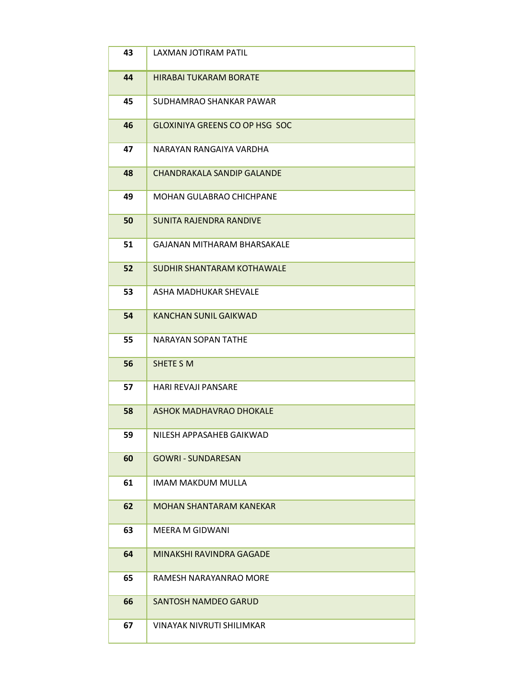| 43 | LAXMAN JOTIRAM PATIL                  |
|----|---------------------------------------|
| 44 | <b>HIRABAI TUKARAM BORATE</b>         |
| 45 | SUDHAMRAO SHANKAR PAWAR               |
| 46 | <b>GLOXINIYA GREENS CO OP HSG SOC</b> |
| 47 | NARAYAN RANGAIYA VARDHA               |
| 48 | <b>CHANDRAKALA SANDIP GALANDE</b>     |
| 49 | <b>MOHAN GULABRAO CHICHPANE</b>       |
| 50 | <b>SUNITA RAJENDRA RANDIVE</b>        |
| 51 | <b>GAJANAN MITHARAM BHARSAKALE</b>    |
| 52 | SUDHIR SHANTARAM KOTHAWALE            |
| 53 | ASHA MADHUKAR SHEVALE                 |
| 54 | <b>KANCHAN SUNIL GAIKWAD</b>          |
| 55 | NARAYAN SOPAN TATHE                   |
| 56 | SHETE S M                             |
| 57 | <b>HARI REVAJI PANSARE</b>            |
| 58 | <b>ASHOK MADHAVRAO DHOKALE</b>        |
| 59 | NILESH APPASAHEB GAIKWAD              |
| 60 | <b>GOWRI - SUNDARESAN</b>             |
| 61 | IMAM MAKDUM MULLA                     |
| 62 | <b>MOHAN SHANTARAM KANEKAR</b>        |
| 63 | <b>MEERA M GIDWANI</b>                |
| 64 | MINAKSHI RAVINDRA GAGADE              |
| 65 | RAMESH NARAYANRAO MORE                |
| 66 | <b>SANTOSH NAMDEO GARUD</b>           |
| 67 | <b>VINAYAK NIVRUTI SHILIMKAR</b>      |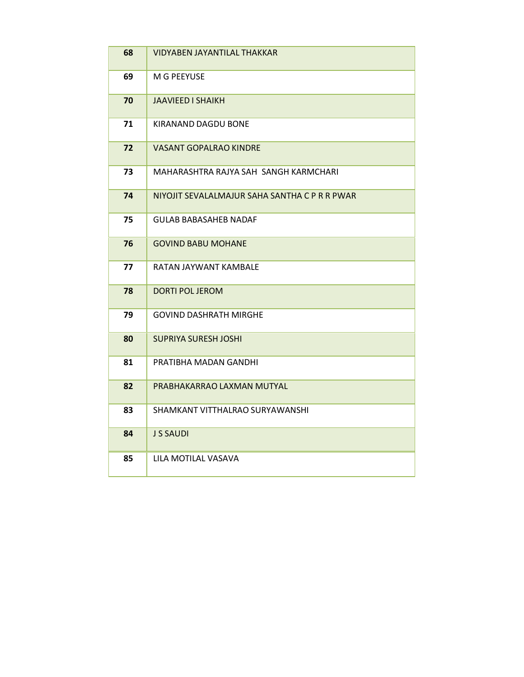| 68 | <b>VIDYABEN JAYANTILAL THAKKAR</b>            |
|----|-----------------------------------------------|
| 69 | M G PEEYUSE                                   |
| 70 | JAAVIEED I SHAIKH                             |
| 71 | KIRANAND DAGDU BONE                           |
| 72 | VASANT GOPALRAO KINDRE                        |
| 73 | MAHARASHTRA RAJYA SAH SANGH KARMCHARI         |
| 74 | NIYOJIT SEVALALMAJUR SAHA SANTHA C P R R PWAR |
| 75 | <b>GULAB BABASAHEB NADAF</b>                  |
| 76 | <b>GOVIND BABU MOHANE</b>                     |
| 77 | RATAN JAYWANT KAMBALE                         |
| 78 | <b>DORTI POL JEROM</b>                        |
| 79 | GOVIND DASHRATH MIRGHE                        |
| 80 | SUPRIYA SURESH JOSHI                          |
| 81 | PRATIBHA MADAN GANDHI                         |
| 82 | PRABHAKARRAO LAXMAN MUTYAL                    |
| 83 | SHAMKANT VITTHALRAO SURYAWANSHI               |
| 84 | J S SAUDI                                     |
| 85 | LILA MOTILAL VASAVA                           |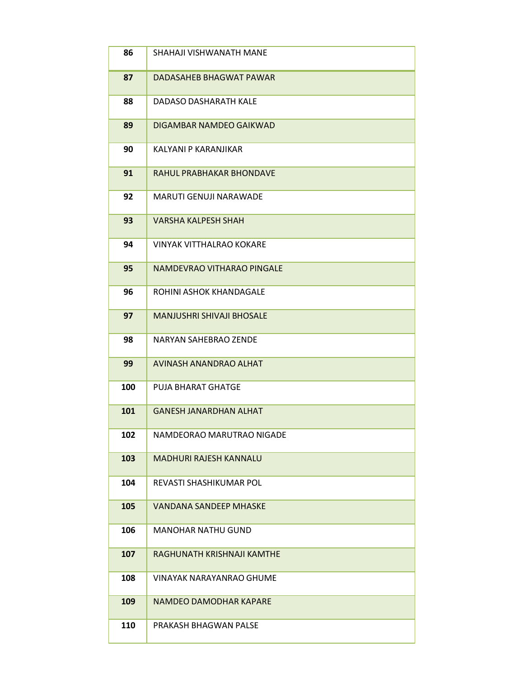| 86  | SHAHAJI VISHWANATH MANE          |
|-----|----------------------------------|
| 87  | DADASAHEB BHAGWAT PAWAR          |
| 88  | DADASO DASHARATH KALE            |
| 89  | DIGAMBAR NAMDEO GAIKWAD          |
| 90  | KALYANI P KARANJIKAR             |
| 91  | RAHUL PRABHAKAR BHONDAVE         |
| 92  | <b>MARUTI GENUJI NARAWADE</b>    |
| 93  | <b>VARSHA KALPESH SHAH</b>       |
| 94  | <b>VINYAK VITTHALRAO KOKARE</b>  |
| 95  | NAMDEVRAO VITHARAO PINGALE       |
| 96  | ROHINI ASHOK KHANDAGALE          |
| 97  | <b>MANJUSHRI SHIVAJI BHOSALE</b> |
| 98  | NARYAN SAHEBRAO ZENDE            |
| 99  | AVINASH ANANDRAO ALHAT           |
| 100 | PUJA BHARAT GHATGE               |
| 101 | <b>GANESH JANARDHAN ALHAT</b>    |
| 102 | NAMDEORAO MARUTRAO NIGADE        |
| 103 | <b>MADHURI RAJESH KANNALU</b>    |
| 104 | REVASTI SHASHIKUMAR POL          |
| 105 | <b>VANDANA SANDEEP MHASKE</b>    |
| 106 | <b>MANOHAR NATHU GUND</b>        |
| 107 | RAGHUNATH KRISHNAJI KAMTHE       |
| 108 | <b>VINAYAK NARAYANRAO GHUME</b>  |
| 109 | NAMDEO DAMODHAR KAPARE           |
| 110 | PRAKASH BHAGWAN PALSE            |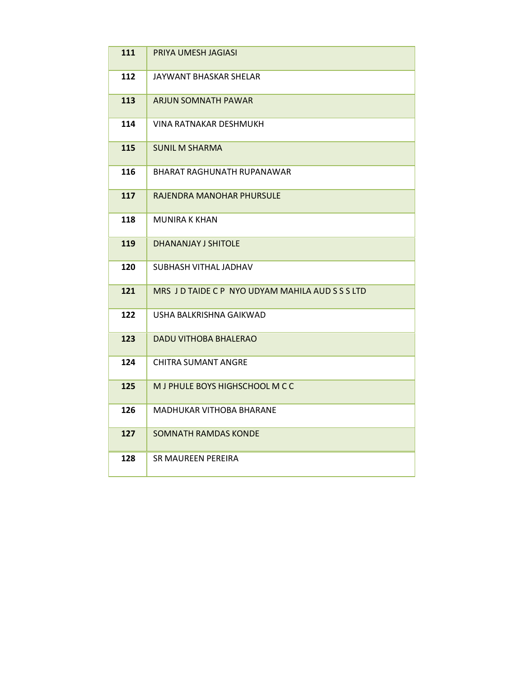| 111 | PRIYA UMESH JAGIASI                              |
|-----|--------------------------------------------------|
| 112 | JAYWANT BHASKAR SHELAR                           |
| 113 | ARJUN SOMNATH PAWAR                              |
| 114 | VINA RATNAKAR DESHMUKH                           |
| 115 | <b>SUNIL M SHARMA</b>                            |
| 116 | BHARAT RAGHUNATH RUPANAWAR                       |
| 117 | RAJENDRA MANOHAR PHURSULE                        |
| 118 | <b>MUNIRA K KHAN</b>                             |
| 119 | <b>DHANANJAY J SHITOLE</b>                       |
| 120 | SUBHASH VITHAL JADHAV                            |
| 121 | MRS J D TAIDE C P NYO UDYAM MAHILA AUD S S S LTD |
| 122 | USHA BALKRISHNA GAIKWAD                          |
| 123 | DADU VITHOBA BHALERAO                            |
| 124 | CHITRA SUMANT ANGRE                              |
| 125 | M J PHULE BOYS HIGHSCHOOL M C C                  |
| 126 | MADHUKAR VITHOBA BHARANE                         |
| 127 | SOMNATH RAMDAS KONDE                             |
| 128 | SR MAUREEN PEREIRA                               |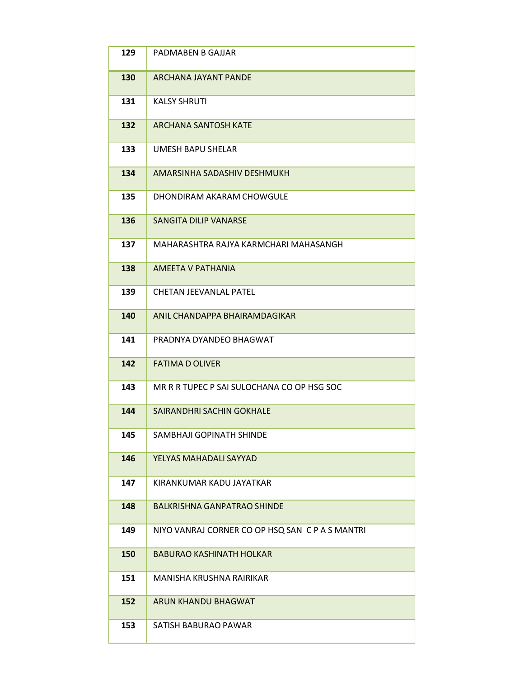| 129 | PADMABEN B GAJJAR                               |
|-----|-------------------------------------------------|
| 130 | <b>ARCHANA JAYANT PANDE</b>                     |
| 131 | <b>KALSY SHRUTI</b>                             |
| 132 | <b>ARCHANA SANTOSH KATE</b>                     |
| 133 | UMESH BAPU SHELAR                               |
| 134 | AMARSINHA SADASHIV DESHMUKH                     |
| 135 | DHONDIRAM AKARAM CHOWGULE                       |
| 136 | SANGITA DILIP VANARSE                           |
| 137 | MAHARASHTRA RAJYA KARMCHARI MAHASANGH           |
| 138 | AMEETA V PATHANIA                               |
| 139 | <b>CHETAN JEEVANLAL PATEL</b>                   |
| 140 | ANIL CHANDAPPA BHAIRAMDAGIKAR                   |
| 141 | PRADNYA DYANDEO BHAGWAT                         |
| 142 | <b>FATIMA D OLIVER</b>                          |
| 143 | MR R R TUPEC P SAI SULOCHANA CO OP HSG SOC      |
| 144 | SAIRANDHRI SACHIN GOKHALE                       |
| 145 | SAMBHAJI GOPINATH SHINDE                        |
| 146 | YELYAS MAHADALI SAYYAD                          |
| 147 | KIRANKUMAR KADU JAYATKAR                        |
| 148 | <b>BALKRISHNA GANPATRAO SHINDE</b>              |
| 149 | NIYO VANRAJ CORNER CO OP HSQ SAN C P A S MANTRI |
| 150 | <b>BABURAO KASHINATH HOLKAR</b>                 |
| 151 | MANISHA KRUSHNA RAIRIKAR                        |
| 152 | ARUN KHANDU BHAGWAT                             |
| 153 | SATISH BABURAO PAWAR                            |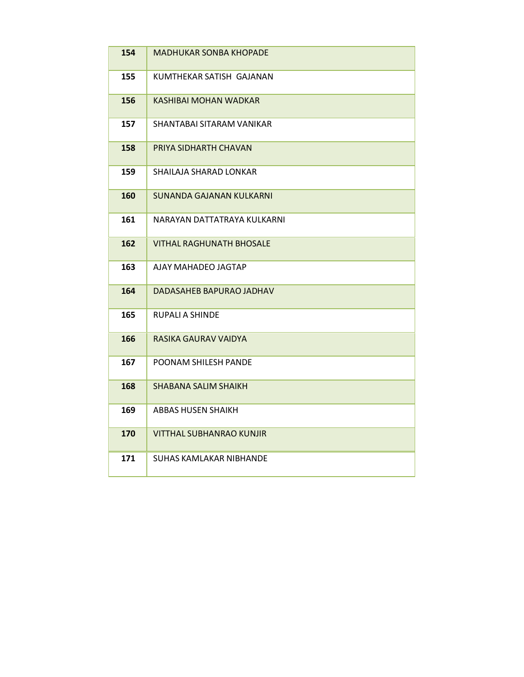| 154 | <b>MADHUKAR SONBA KHOPADE</b>   |
|-----|---------------------------------|
| 155 | KUMTHEKAR SATISH GAJANAN        |
| 156 | KASHIBAI MOHAN WADKAR           |
| 157 | SHANTABAI SITARAM VANIKAR       |
| 158 | PRIYA SIDHARTH CHAVAN           |
| 159 | SHAILAJA SHARAD LONKAR          |
| 160 | SUNANDA GAJANAN KULKARNI        |
| 161 | NARAYAN DATTATRAYA KULKARNI     |
| 162 | <b>VITHAL RAGHUNATH BHOSALE</b> |
| 163 | AJAY MAHADEO JAGTAP             |
| 164 | DADASAHEB BAPURAO JADHAV        |
| 165 | RUPALI A SHINDE                 |
| 166 | RASIKA GAURAV VAIDYA            |
| 167 | POONAM SHILESH PANDE            |
| 168 | <b>SHABANA SALIM SHAIKH</b>     |
| 169 | ABBAS HUSEN SHAIKH              |
| 170 | VITTHAL SUBHANRAO KUNJIR        |
| 171 | SUHAS KAMLAKAR NIBHANDE         |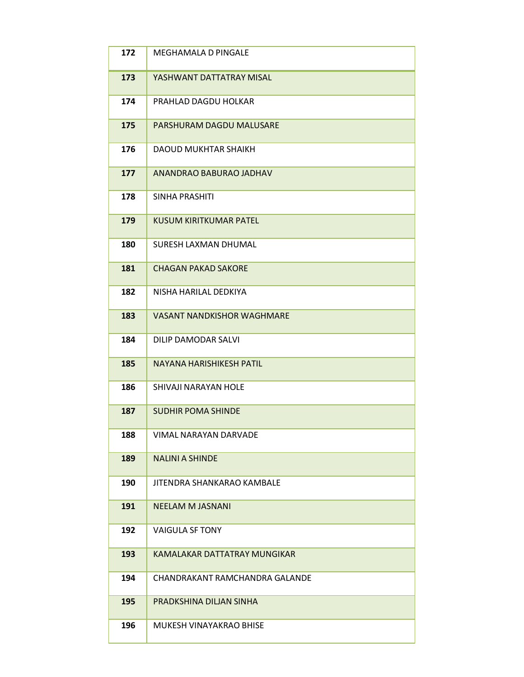| 172 | <b>MEGHAMALA D PINGALE</b>        |
|-----|-----------------------------------|
| 173 | YASHWANT DATTATRAY MISAL          |
| 174 | PRAHLAD DAGDU HOLKAR              |
| 175 | PARSHURAM DAGDU MALUSARE          |
| 176 | <b>DAOUD MUKHTAR SHAIKH</b>       |
| 177 | ANANDRAO BABURAO JADHAV           |
| 178 | SINHA PRASHITI                    |
| 179 | <b>KUSUM KIRITKUMAR PATEL</b>     |
| 180 | SURESH LAXMAN DHUMAL              |
| 181 | <b>CHAGAN PAKAD SAKORE</b>        |
| 182 | NISHA HARILAL DEDKIYA             |
| 183 | <b>VASANT NANDKISHOR WAGHMARE</b> |
| 184 | DILIP DAMODAR SALVI               |
| 185 | NAYANA HARISHIKESH PATIL          |
| 186 | SHIVAJI NARAYAN HOLE              |
| 187 | <b>SUDHIR POMA SHINDE</b>         |
| 188 | VIMAL NARAYAN DARVADE             |
| 189 | <b>NALINI A SHINDE</b>            |
| 190 | JITENDRA SHANKARAO KAMBALE        |
| 191 | <b>NEELAM M JASNANI</b>           |
| 192 | <b>VAIGULA SF TONY</b>            |
| 193 | KAMALAKAR DATTATRAY MUNGIKAR      |
| 194 | CHANDRAKANT RAMCHANDRA GALANDE    |
| 195 | PRADKSHINA DILJAN SINHA           |
| 196 | MUKESH VINAYAKRAO BHISE           |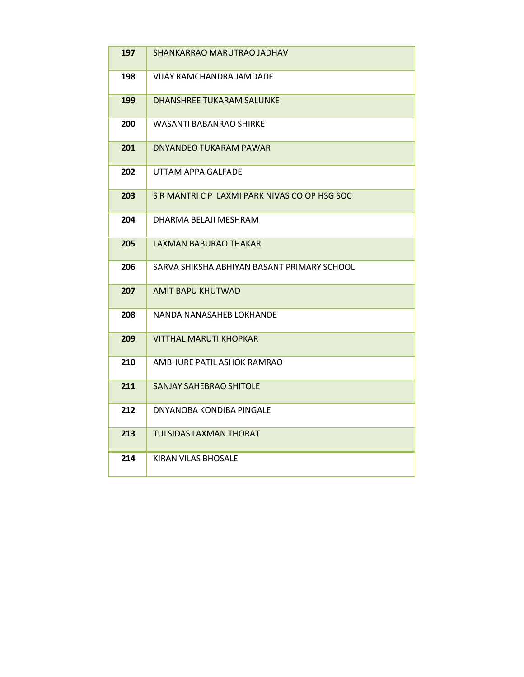| 197 | SHANKARRAO MARUTRAO JADHAV                    |
|-----|-----------------------------------------------|
| 198 | VIJAY RAMCHANDRA JAMDADE                      |
| 199 | DHANSHREE TUKARAM SALUNKE                     |
| 200 | WASANTI BABANRAO SHIRKE                       |
| 201 | DNYANDEO TUKARAM PAWAR                        |
| 202 | UTTAM APPA GALFADE                            |
| 203 | S R MANTRI C P LAXMI PARK NIVAS CO OP HSG SOC |
| 204 | DHARMA BELAJI MESHRAM                         |
| 205 | LAXMAN BABURAO THAKAR                         |
| 206 | SARVA SHIKSHA ABHIYAN BASANT PRIMARY SCHOOL   |
| 207 | <b>AMIT BAPU KHUTWAD</b>                      |
| 208 | NANDA NANASAHEB LOKHANDE                      |
| 209 | VITTHAL MARUTI KHOPKAR                        |
| 210 | AMBHURE PATIL ASHOK RAMRAO                    |
| 211 | <b>SANJAY SAHEBRAO SHITOLE</b>                |
| 212 | DNYANOBA KONDIBA PINGALE                      |
| 213 | <b>TULSIDAS LAXMAN THORAT</b>                 |
| 214 | KIRAN VILAS BHOSALE                           |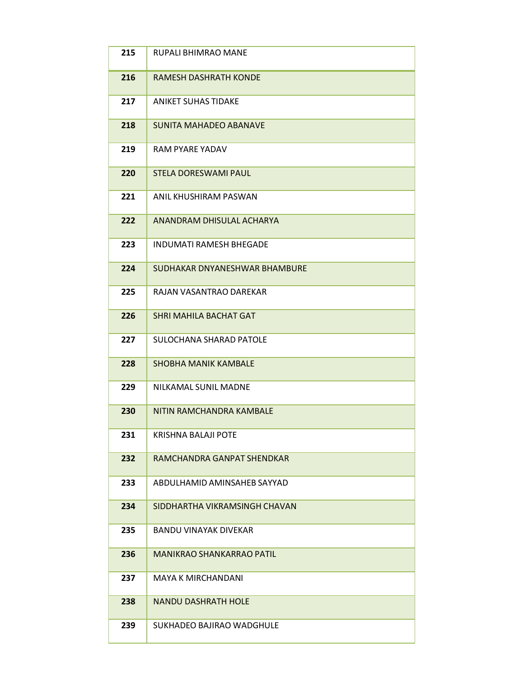| 215 | RUPALI BHIMRAO MANE              |
|-----|----------------------------------|
| 216 | <b>RAMESH DASHRATH KONDE</b>     |
| 217 | <b>ANIKET SUHAS TIDAKE</b>       |
| 218 | <b>SUNITA MAHADEO ABANAVE</b>    |
| 219 | RAM PYARE YADAV                  |
| 220 | <b>STELA DORESWAMI PAUL</b>      |
| 221 | ANIL KHUSHIRAM PASWAN            |
| 222 | ANANDRAM DHISULAL ACHARYA        |
| 223 | <b>INDUMATI RAMESH BHEGADE</b>   |
| 224 | SUDHAKAR DNYANESHWAR BHAMBURE    |
| 225 | RAJAN VASANTRAO DAREKAR          |
| 226 | <b>SHRI MAHILA BACHAT GAT</b>    |
| 227 | SULOCHANA SHARAD PATOLE          |
| 228 | <b>SHOBHA MANIK KAMBALE</b>      |
| 229 | NILKAMAL SUNIL MADNE             |
| 230 | NITIN RAMCHANDRA KAMBALF         |
| 231 | <b>KRISHNA BALAJI POTE</b>       |
| 232 | RAMCHANDRA GANPAT SHENDKAR       |
| 233 | ABDULHAMID AMINSAHEB SAYYAD      |
| 234 | SIDDHARTHA VIKRAMSINGH CHAVAN    |
| 235 | <b>BANDU VINAYAK DIVEKAR</b>     |
| 236 | <b>MANIKRAO SHANKARRAO PATIL</b> |
| 237 | <b>MAYA K MIRCHANDANI</b>        |
| 238 | <b>NANDU DASHRATH HOLE</b>       |
| 239 | SUKHADEO BAJIRAO WADGHULE        |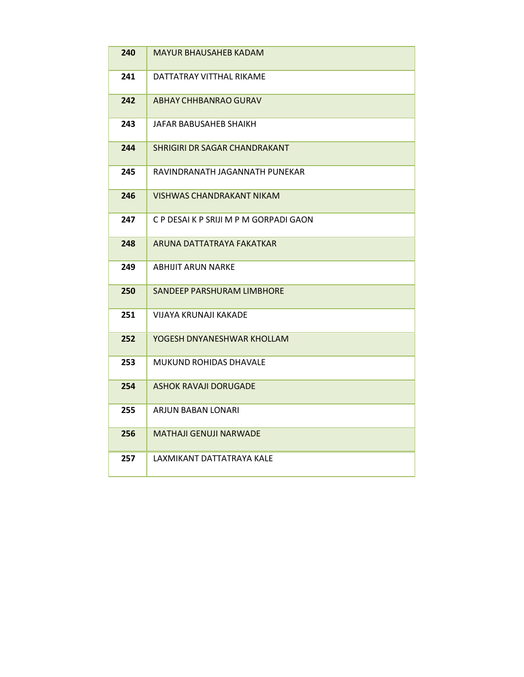| 240 | <b>MAYUR BHAUSAHEB KADAM</b>           |
|-----|----------------------------------------|
| 241 | DATTATRAY VITTHAL RIKAME               |
| 242 | ABHAY CHHBANRAO GURAV                  |
| 243 | JAFAR BABUSAHEB SHAIKH                 |
| 244 | SHRIGIRI DR SAGAR CHANDRAKANT          |
| 245 | RAVINDRANATH JAGANNATH PUNEKAR         |
| 246 | VISHWAS CHANDRAKANT NIKAM              |
| 247 | C P DESAI K P SRIJI M P M GORPADI GAON |
| 248 | ARUNA DATTATRAYA FAKATKAR              |
| 249 | <b>ABHIJIT ARUN NARKE</b>              |
| 250 | SANDEEP PARSHURAM LIMBHORE             |
| 251 | VIJAYA KRUNAJI KAKADE                  |
| 252 | YOGESH DNYANESHWAR KHOLLAM             |
| 253 | <b>MUKUND ROHIDAS DHAVALE</b>          |
| 254 | ASHOK RAVAJI DORUGADE                  |
| 255 | ARJUN BABAN LONARI                     |
| 256 | <b>MATHAJI GENUJI NARWADE</b>          |
| 257 | LAXMIKANT DATTATRAYA KALE              |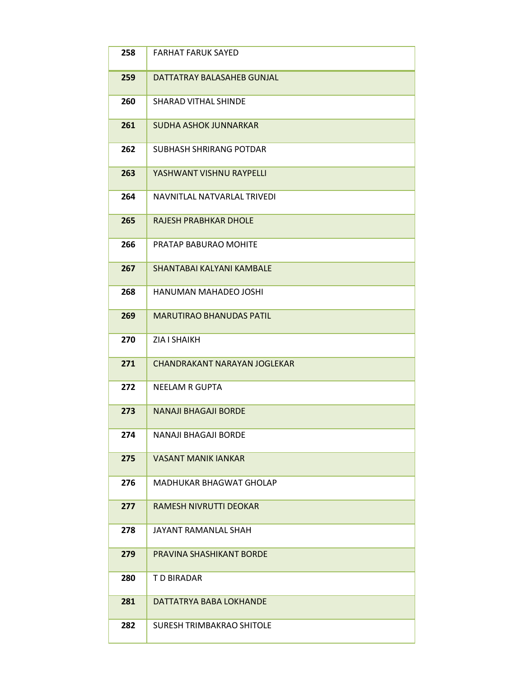| 258 | <b>FARHAT FARUK SAYED</b>        |
|-----|----------------------------------|
| 259 | DATTATRAY BALASAHEB GUNJAL       |
| 260 | <b>SHARAD VITHAL SHINDE</b>      |
| 261 | <b>SUDHA ASHOK JUNNARKAR</b>     |
| 262 | <b>SUBHASH SHRIRANG POTDAR</b>   |
| 263 | YASHWANT VISHNU RAYPELLI         |
| 264 | NAVNITLAL NATVARLAL TRIVEDI      |
| 265 | <b>RAJESH PRABHKAR DHOLE</b>     |
| 266 | PRATAP BABURAO MOHITE            |
| 267 | SHANTABAI KALYANI KAMBALE        |
| 268 | HANUMAN MAHADEO JOSHI            |
| 269 | <b>MARUTIRAO BHANUDAS PATIL</b>  |
| 270 | <b>ZIA I SHAIKH</b>              |
| 271 | CHANDRAKANT NARAYAN JOGLEKAR     |
| 272 | <b>NEELAM R GUPTA</b>            |
| 273 | <b>NANAJI BHAGAJI BORDE</b>      |
| 274 | <b>NANAJI BHAGAJI BORDE</b>      |
| 275 | <b>VASANT MANIK IANKAR</b>       |
| 276 | MADHUKAR BHAGWAT GHOLAP          |
| 277 | <b>RAMESH NIVRUTTI DEOKAR</b>    |
| 278 | JAYANT RAMANLAL SHAH             |
| 279 | PRAVINA SHASHIKANT BORDE         |
| 280 | T D BIRADAR                      |
| 281 | DATTATRYA BABA LOKHANDE          |
| 282 | <b>SURESH TRIMBAKRAO SHITOLE</b> |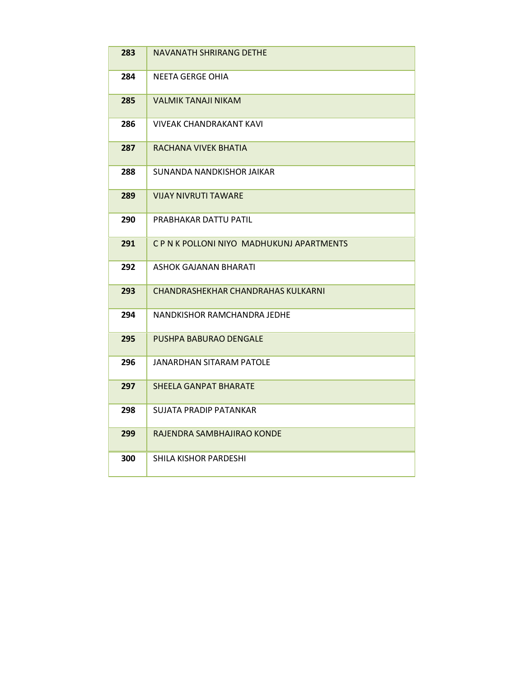| 283 | <b>NAVANATH SHRIRANG DETHE</b>          |
|-----|-----------------------------------------|
| 284 | NEETA GERGE OHIA                        |
| 285 | VALMIK TANAJI NIKAM                     |
| 286 | VIVEAK CHANDRAKANT KAVI                 |
| 287 | RACHANA VIVEK BHATIA                    |
| 288 | SUNANDA NANDKISHOR JAIKAR               |
| 289 | VIJAY NIVRUTI TAWARF                    |
| 290 | PRABHAKAR DATTU PATIL                   |
| 291 | CPN K POLLONI NIYO MADHUKUNJ APARTMENTS |
| 292 | ASHOK GAJANAN BHARATI                   |
| 293 | CHANDRASHEKHAR CHANDRAHAS KULKARNI      |
| 294 | NANDKISHOR RAMCHANDRA JEDHE             |
| 295 | <b>PUSHPA BABURAO DENGALE</b>           |
| 296 | JANARDHAN SITARAM PATOLE                |
| 297 | <b>SHEELA GANPAT BHARATE</b>            |
| 298 | SUJATA PRADIP PATANKAR                  |
| 299 | RAJENDRA SAMBHAJIRAO KONDE              |
| 300 | SHILA KISHOR PARDESHI                   |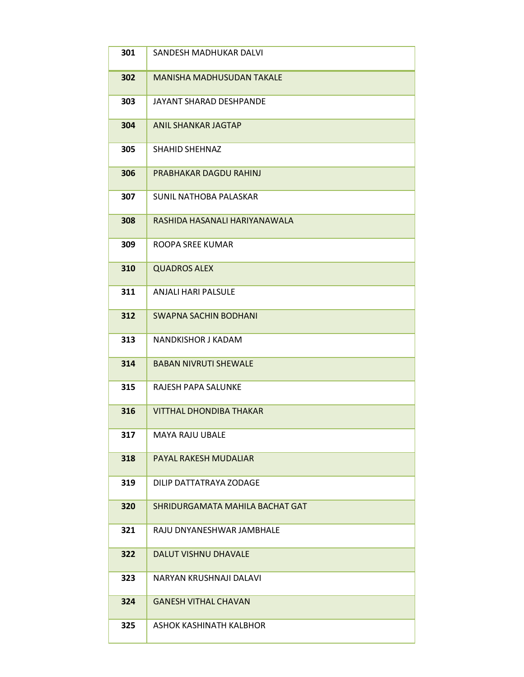| 301 | SANDESH MADHUKAR DALVI           |
|-----|----------------------------------|
| 302 | <b>MANISHA MADHUSUDAN TAKALE</b> |
| 303 | JAYANT SHARAD DESHPANDE          |
| 304 | <b>ANIL SHANKAR JAGTAP</b>       |
| 305 | <b>SHAHID SHEHNAZ</b>            |
| 306 | PRABHAKAR DAGDU RAHINJ           |
| 307 | <b>SUNIL NATHOBA PALASKAR</b>    |
| 308 | RASHIDA HASANALI HARIYANAWALA    |
| 309 | ROOPA SREE KUMAR                 |
| 310 | <b>QUADROS ALEX</b>              |
| 311 | <b>ANJALI HARI PALSULE</b>       |
| 312 | <b>SWAPNA SACHIN BODHANI</b>     |
| 313 | NANDKISHOR J KADAM               |
| 314 | <b>BABAN NIVRUTI SHEWALE</b>     |
| 315 | RAJESH PAPA SALUNKE              |
| 316 | <b>VITTHAL DHONDIBA THAKAR</b>   |
| 317 | <b>MAYA RAJU UBALE</b>           |
| 318 | PAYAL RAKESH MUDALIAR            |
| 319 | DILIP DATTATRAYA ZODAGE          |
| 320 | SHRIDURGAMATA MAHILA BACHAT GAT  |
| 321 | RAJU DNYANESHWAR JAMBHALE        |
| 322 | <b>DALUT VISHNU DHAVALE</b>      |
| 323 | NARYAN KRUSHNAJI DALAVI          |
| 324 | <b>GANESH VITHAL CHAVAN</b>      |
| 325 | ASHOK KASHINATH KALBHOR          |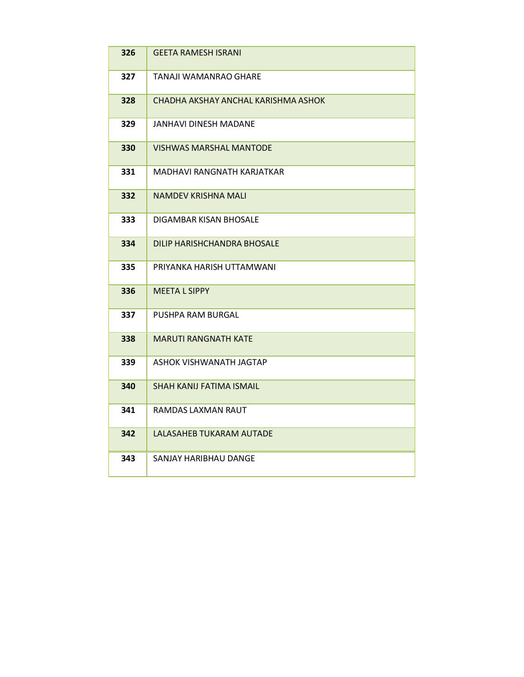| 326 | <b>GEETA RAMESH ISRANI</b>          |
|-----|-------------------------------------|
| 327 | TANAJI WAMANRAO GHARE               |
| 328 | CHADHA AKSHAY ANCHAL KARISHMA ASHOK |
| 329 | JANHAVI DINESH MADANE               |
| 330 | VISHWAS MARSHAL MANTODE             |
| 331 | MADHAVI RANGNATH KARJATKAR          |
| 332 | <b>NAMDEV KRISHNA MALI</b>          |
| 333 | DIGAMBAR KISAN BHOSALE              |
| 334 | DILIP HARISHCHANDRA BHOSALE         |
| 335 | PRIYANKA HARISH UTTAMWANI           |
| 336 | <b>MEETA L SIPPY</b>                |
| 337 | PUSHPA RAM BURGAL                   |
| 338 | <b>MARUTI RANGNATH KATE</b>         |
| 339 | ASHOK VISHWANATH JAGTAP             |
| 340 | <b>SHAH KANIJ FATIMA ISMAIL</b>     |
| 341 | RAMDAS LAXMAN RAUT                  |
| 342 | LALASAHEB TUKARAM AUTADE            |
| 343 | SANJAY HARIBHAU DANGE               |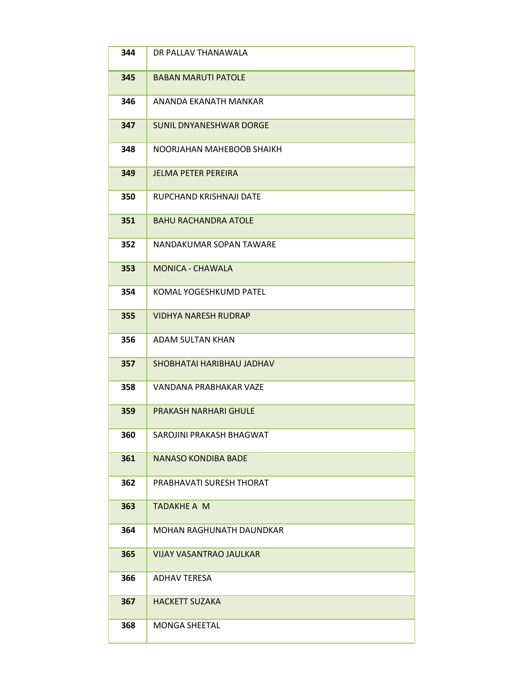| 344 | DR PALLAV THANAWALA            |
|-----|--------------------------------|
| 345 | <b>BABAN MARUTI PATOLE</b>     |
| 346 | ANANDA EKANATH MANKAR          |
| 347 | <b>SUNIL DNYANESHWAR DORGE</b> |
| 348 | NOORJAHAN MAHEBOOB SHAIKH      |
| 349 | <b>JELMA PETER PEREIRA</b>     |
| 350 | RUPCHAND KRISHNAJI DATE        |
| 351 | <b>BAHU RACHANDRA ATOLE</b>    |
| 352 | NANDAKUMAR SOPAN TAWARE        |
| 353 | <b>MONICA - CHAWALA</b>        |
| 354 | KOMAL YOGESHKUMD PATEL         |
| 355 | <b>VIDHYA NARESH RUDRAP</b>    |
| 356 | ADAM SULTAN KHAN               |
| 357 | SHOBHATAI HARIBHAU JADHAV      |
| 358 | VANDANA PRABHAKAR VAZE         |
| 359 | PRAKASH NARHARI GHULF          |
| 360 | SAROJINI PRAKASH BHAGWAT       |
| 361 | <b>NANASO KONDIBA BADE</b>     |
| 362 | PRABHAVATI SURESH THORAT       |
| 363 | <b>TADAKHE A M</b>             |
| 364 | MOHAN RAGHUNATH DAUNDKAR       |
| 365 | <b>VIJAY VASANTRAO JAULKAR</b> |
| 366 | <b>ADHAV TERESA</b>            |
| 367 | <b>HACKETT SUZAKA</b>          |
| 368 | <b>MONGA SHEETAL</b>           |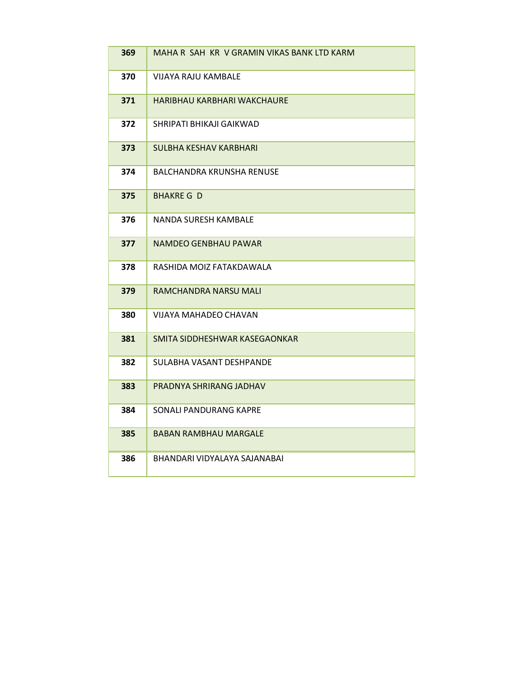| 369 | MAHA R SAH KR V GRAMIN VIKAS BANK LTD KARM |
|-----|--------------------------------------------|
| 370 | VIJAYA RAJU KAMBALE                        |
| 371 | HARIBHAU KARBHARI WAKCHAURE                |
| 372 | SHRIPATI BHIKAJI GAIKWAD                   |
| 373 | SULBHA KESHAV KARBHARI                     |
| 374 | BALCHANDRA KRUNSHA RENUSE                  |
| 375 | <b>BHAKRE G D</b>                          |
| 376 | NANDA SURESH KAMBALE                       |
| 377 | <b>NAMDEO GENBHAU PAWAR</b>                |
| 378 | RASHIDA MOIZ FATAKDAWALA                   |
| 379 | RAMCHANDRA NARSU MALI                      |
| 380 | VIJAYA MAHADEO CHAVAN                      |
| 381 | SMITA SIDDHESHWAR KASEGAONKAR              |
| 382 | SULABHA VASANT DESHPANDE                   |
| 383 | PRADNYA SHRIRANG JADHAV                    |
| 384 | SONALI PANDURANG KAPRE                     |
| 385 | <b>BABAN RAMBHAU MARGALE</b>               |
| 386 | BHANDARI VIDYALAYA SAJANABAI               |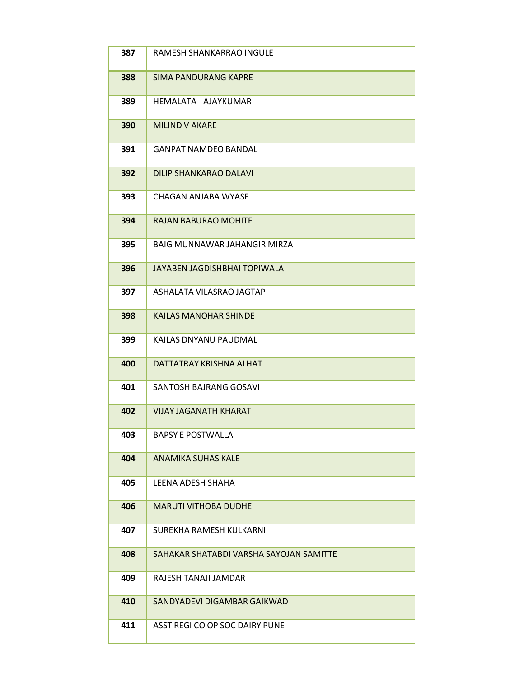| 387 | RAMESH SHANKARRAO INGULE                |
|-----|-----------------------------------------|
| 388 | <b>SIMA PANDURANG KAPRE</b>             |
| 389 | HEMALATA - AJAYKUMAR                    |
| 390 | <b>MILIND V AKARE</b>                   |
| 391 | GANPAT NAMDEO BANDAL                    |
| 392 | <b>DILIP SHANKARAO DALAVI</b>           |
| 393 | CHAGAN ANJABA WYASE                     |
| 394 | <b>RAJAN BABURAO MOHITE</b>             |
| 395 | BAIG MUNNAWAR JAHANGIR MIRZA            |
| 396 | JAYABEN JAGDISHBHAI TOPIWALA            |
| 397 | ASHALATA VILASRAO JAGTAP                |
| 398 | <b>KAILAS MANOHAR SHINDE</b>            |
| 399 | KAILAS DNYANU PAUDMAL                   |
| 400 | DATTATRAY KRISHNA ALHAT                 |
| 401 | <b>SANTOSH BAJRANG GOSAVI</b>           |
| 402 | <b>VIJAY JAGANATH KHARAT</b>            |
| 403 | <b>BAPSY E POSTWALLA</b>                |
| 404 | <b>ANAMIKA SUHAS KALE</b>               |
| 405 | LEENA ADESH SHAHA                       |
| 406 | <b>MARUTI VITHOBA DUDHE</b>             |
| 407 | SUREKHA RAMESH KULKARNI                 |
| 408 | SAHAKAR SHATABDI VARSHA SAYOJAN SAMITTE |
| 409 | RAJESH TANAJI JAMDAR                    |
| 410 | SANDYADEVI DIGAMBAR GAIKWAD             |
| 411 | ASST REGI CO OP SOC DAIRY PUNE          |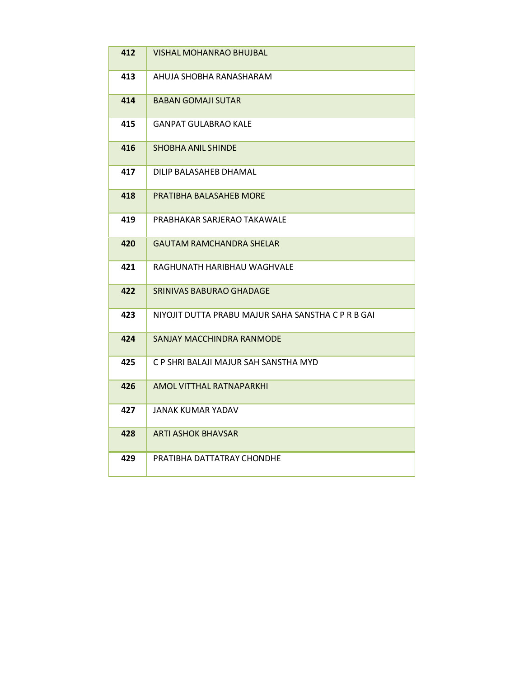| 412 | VISHAL MOHANRAO BHUJBAL                            |
|-----|----------------------------------------------------|
| 413 | AHUJA SHOBHA RANASHARAM                            |
| 414 | <b>BABAN GOMAJI SUTAR</b>                          |
| 415 | GANPAT GULABRAO KALE                               |
| 416 | SHOBHA ANIL SHINDE                                 |
| 417 | DILIP BALASAHEB DHAMAL                             |
| 418 | PRATIBHA BALASAHEB MORE                            |
| 419 | PRABHAKAR SARJERAO TAKAWALE                        |
| 420 | <b>GAUTAM RAMCHANDRA SHELAR</b>                    |
| 421 | RAGHUNATH HARIBHAU WAGHVALE                        |
| 422 | SRINIVAS BABURAO GHADAGE                           |
| 423 | NIYOJIT DUTTA PRABU MAJUR SAHA SANSTHA C P R B GAI |
| 424 | SANJAY MACCHINDRA RANMODE                          |
| 425 | C P SHRI BALAJI MAJUR SAH SANSTHA MYD              |
| 426 | AMOL VITTHAL RATNAPARKHI                           |
| 427 | JANAK KUMAR YADAV                                  |
| 428 | ARTI ASHOK BHAVSAR                                 |
| 429 | PRATIBHA DATTATRAY CHONDHE                         |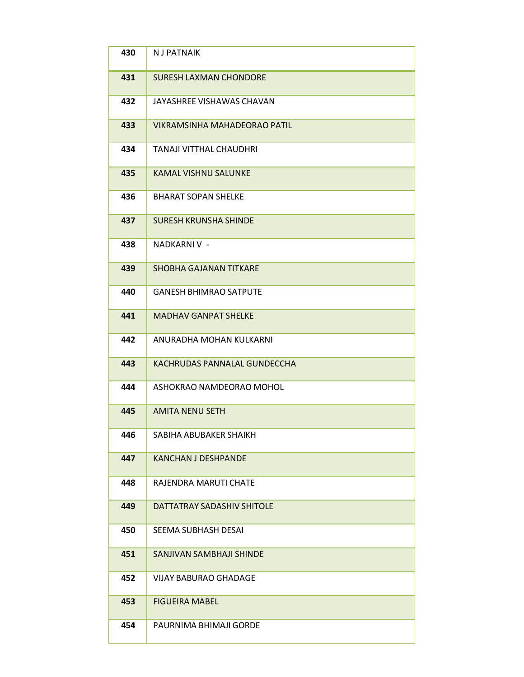| 430 | <b>NJ PATNAIK</b>                   |
|-----|-------------------------------------|
| 431 | <b>SURESH LAXMAN CHONDORE</b>       |
| 432 | JAYASHREE VISHAWAS CHAVAN           |
| 433 | <b>VIKRAMSINHA MAHADEORAO PATIL</b> |
| 434 | <b>TANAJI VITTHAL CHAUDHRI</b>      |
| 435 | <b>KAMAL VISHNU SALUNKE</b>         |
| 436 | <b>BHARAT SOPAN SHELKE</b>          |
| 437 | <b>SURESH KRUNSHA SHINDE</b>        |
| 438 | NADKARNI V -                        |
| 439 | <b>SHOBHA GAJANAN TITKARE</b>       |
| 440 | <b>GANESH BHIMRAO SATPUTE</b>       |
| 441 | <b>MADHAV GANPAT SHELKE</b>         |
| 442 | ANURADHA MOHAN KULKARNI             |
| 443 | KACHRUDAS PANNALAL GUNDECCHA        |
| 444 | ASHOKRAO NAMDEORAO MOHOL            |
| 445 | <b>AMITA NENU SETH</b>              |
| 446 | SABIHA ABUBAKER SHAIKH              |
| 447 | <b>KANCHAN J DESHPANDE</b>          |
| 448 | RAJENDRA MARUTI CHATE               |
| 449 | DATTATRAY SADASHIV SHITOLE          |
| 450 | SEEMA SUBHASH DESAI                 |
| 451 | SANJIVAN SAMBHAJI SHINDE            |
| 452 | <b>VIJAY BABURAO GHADAGE</b>        |
| 453 | <b>FIGUEIRA MABEL</b>               |
| 454 | PAURNIMA BHIMAJI GORDE              |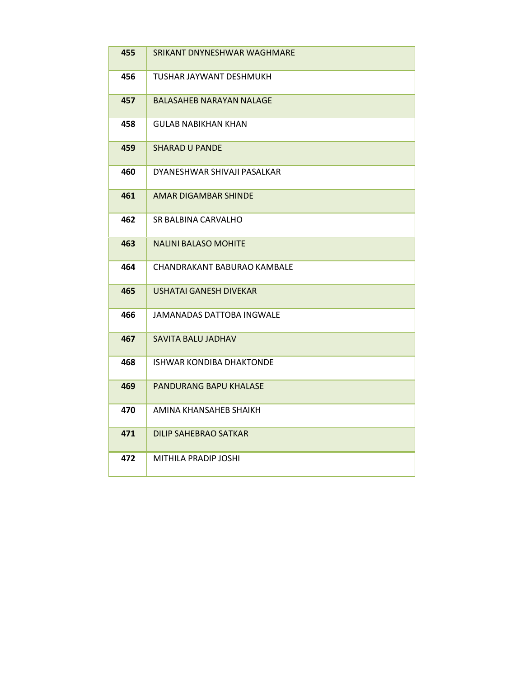| 455 | SRIKANT DNYNESHWAR WAGHMARE     |
|-----|---------------------------------|
| 456 | TUSHAR JAYWANT DESHMUKH         |
| 457 | BALASAHEB NARAYAN NALAGE        |
| 458 | <b>GULAB NABIKHAN KHAN</b>      |
| 459 | <b>SHARAD U PANDE</b>           |
| 460 | DYANESHWAR SHIVAJI PASALKAR     |
| 461 | AMAR DIGAMBAR SHINDE            |
| 462 | SR BALBINA CARVALHO             |
| 463 | <b>NALINI BALASO MOHITE</b>     |
| 464 | CHANDRAKANT BABURAO KAMBALE     |
| 465 | USHATAI GANESH DIVEKAR          |
| 466 | JAMANADAS DATTOBA INGWALE       |
| 467 | SAVITA BALU JADHAV              |
| 468 | <b>ISHWAR KONDIBA DHAKTONDE</b> |
| 469 | PANDURANG BAPU KHALASE          |
| 470 | AMINA KHANSAHEB SHAIKH          |
| 471 | DILIP SAHEBRAO SATKAR           |
| 472 | MITHILA PRADIP JOSHI            |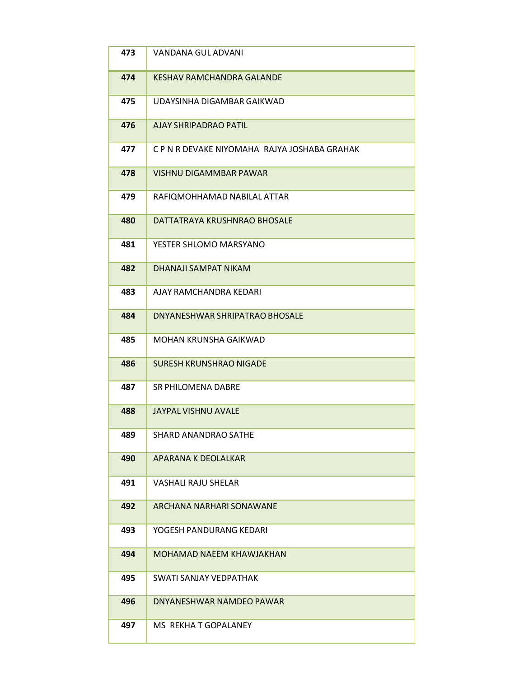| 473 | <b>VANDANA GUL ADVANI</b>                    |
|-----|----------------------------------------------|
| 474 | KESHAV RAMCHANDRA GALANDE                    |
| 475 | UDAYSINHA DIGAMBAR GAIKWAD                   |
| 476 | <b>AJAY SHRIPADRAO PATIL</b>                 |
| 477 | C P N R DEVAKE NIYOMAHA RAJYA JOSHABA GRAHAK |
| 478 | <b>VISHNU DIGAMMBAR PAWAR</b>                |
| 479 | RAFIQMOHHAMAD NABILAL ATTAR                  |
| 480 | DATTATRAYA KRUSHNRAO BHOSALE                 |
| 481 | YESTER SHLOMO MARSYANO                       |
| 482 | DHANAJI SAMPAT NIKAM                         |
| 483 | AJAY RAMCHANDRA KEDARI                       |
| 484 | DNYANESHWAR SHRIPATRAO BHOSALE               |
| 485 | MOHAN KRUNSHA GAIKWAD                        |
| 486 | <b>SURESH KRUNSHRAO NIGADE</b>               |
| 487 | <b>SR PHILOMENA DABRE</b>                    |
| 488 | <b>JAYPAL VISHNU AVALE</b>                   |
| 489 | <b>SHARD ANANDRAO SATHE</b>                  |
| 490 | APARANA K DEOLALKAR                          |
| 491 | <b>VASHALI RAJU SHELAR</b>                   |
| 492 | ARCHANA NARHARI SONAWANE                     |
| 493 | YOGESH PANDURANG KEDARI                      |
| 494 | <b>MOHAMAD NAEEM KHAWJAKHAN</b>              |
| 495 | SWATI SANJAY VEDPATHAK                       |
| 496 | DNYANESHWAR NAMDEO PAWAR                     |
| 497 | MS REKHA T GOPALANEY                         |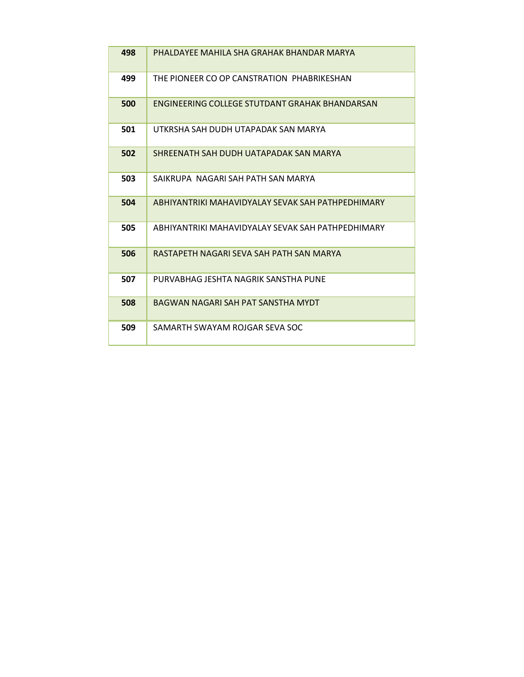| 498 | PHALDAYFF MAHILA SHA GRAHAK BHANDAR MARYA             |
|-----|-------------------------------------------------------|
| 499 | THE PIONEER CO OP CANSTRATION PHABRIKESHAN            |
| 500 | <b>FNGINFFRING COLLFGF STUTDANT GRAHAK BHANDARSAN</b> |
| 501 | UTKRSHA SAH DUDH UTAPADAK SAN MARYA                   |
| 502 | SHRFFNATH SAH DUDH UATAPADAK SAN MARYA                |
| 503 | SAIKRUPA NAGARI SAH PATH SAN MARYA                    |
| 504 | ABHIYANTRIKI MAHAVIDYALAY SEVAK SAH PATHPEDHIMARY     |
| 505 | ABHIYANTRIKI MAHAVIDYALAY SFVAK SAH PATHPFDHIMARY     |
| 506 | RASTAPFTH NAGARI SFVA SAH PATH SAN MARYA              |
| 507 | PURVABHAG JESHTA NAGRIK SANSTHA PUNE                  |
| 508 | BAGWAN NAGARI SAH PAT SANSTHA MYDT                    |
| 509 | SAMARTH SWAYAM ROIGAR SFVA SOC                        |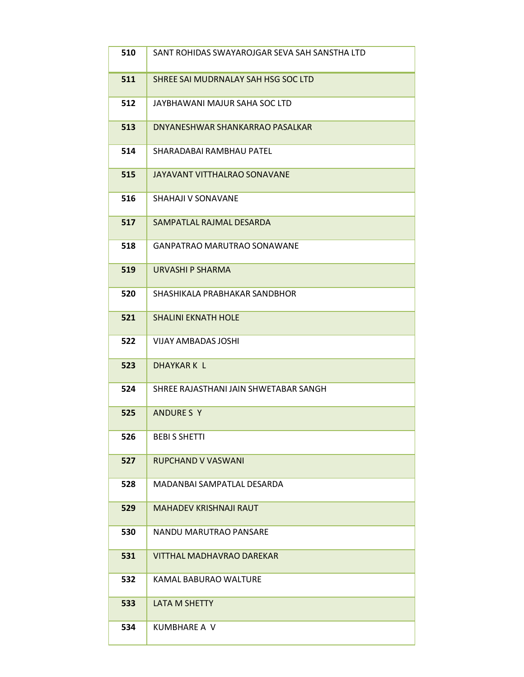| 510 | SANT ROHIDAS SWAYAROJGAR SEVA SAH SANSTHA LTD |
|-----|-----------------------------------------------|
| 511 | SHREE SAI MUDRNALAY SAH HSG SOC LTD           |
| 512 | JAYBHAWANI MAJUR SAHA SOC LTD                 |
| 513 | DNYANESHWAR SHANKARRAO PASALKAR               |
| 514 | SHARADABAI RAMBHAU PATEL                      |
| 515 | JAYAVANT VITTHALRAO SONAVANE                  |
| 516 | SHAHAJI V SONAVANE                            |
| 517 | SAMPATLAL RAJMAL DESARDA                      |
| 518 | <b>GANPATRAO MARUTRAO SONAWANE</b>            |
| 519 | URVASHI P SHARMA                              |
| 520 | SHASHIKALA PRABHAKAR SANDBHOR                 |
| 521 | <b>SHALINI EKNATH HOLE</b>                    |
| 522 | <b>VIJAY AMBADAS JOSHI</b>                    |
| 523 | <b>DHAYKARK L</b>                             |
| 524 | SHREE RAJASTHANI JAIN SHWETABAR SANGH         |
| 525 | ANDURE S Y                                    |
| 526 | <b>BEBIS SHETTI</b>                           |
| 527 | <b>RUPCHAND V VASWANI</b>                     |
| 528 | MADANBAI SAMPATLAL DESARDA                    |
| 529 | <b>MAHADEV KRISHNAJI RAUT</b>                 |
| 530 | NANDU MARUTRAO PANSARE                        |
| 531 | <b>VITTHAL MADHAVRAO DAREKAR</b>              |
| 532 | KAMAL BABURAO WALTURE                         |
| 533 | <b>LATA M SHETTY</b>                          |
| 534 | KUMBHARE A V                                  |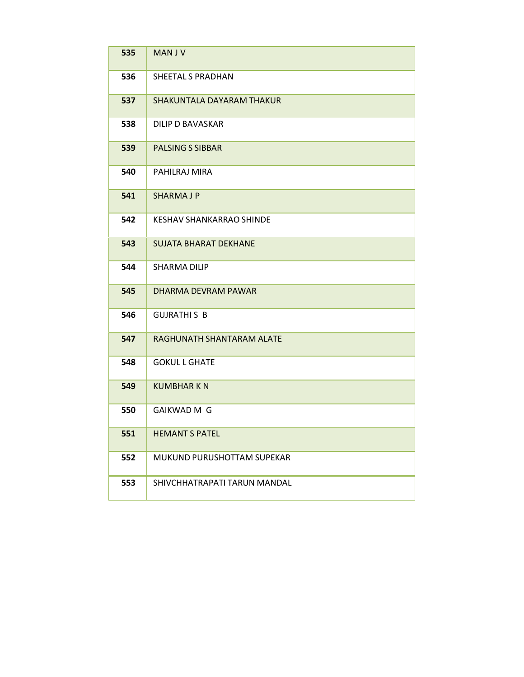| 535 | <b>MANJV</b>                     |
|-----|----------------------------------|
| 536 | SHEETAL S PRADHAN                |
| 537 | <b>SHAKUNTALA DAYARAM THAKUR</b> |
| 538 | DILIP D BAVASKAR                 |
| 539 | <b>PALSING S SIBBAR</b>          |
| 540 | PAHILRAJ MIRA                    |
| 541 | <b>SHARMAJP</b>                  |
| 542 | <b>KESHAV SHANKARRAO SHINDE</b>  |
| 543 | <b>SUJATA BHARAT DEKHANE</b>     |
| 544 | <b>SHARMA DILIP</b>              |
| 545 | DHARMA DFVRAM PAWAR              |
| 546 | <b>GUJRATHIS B</b>               |
| 547 | RAGHUNATH SHANTARAM ALATE        |
| 548 | <b>GOKUL L GHATE</b>             |
| 549 | <b>KUMBHARKN</b>                 |
| 550 | <b>GAIKWAD M G</b>               |
| 551 | <b>HEMANT S PATEL</b>            |
| 552 | MUKUND PURUSHOTTAM SUPEKAR       |
| 553 | SHIVCHHATRAPATI TARUN MANDAL     |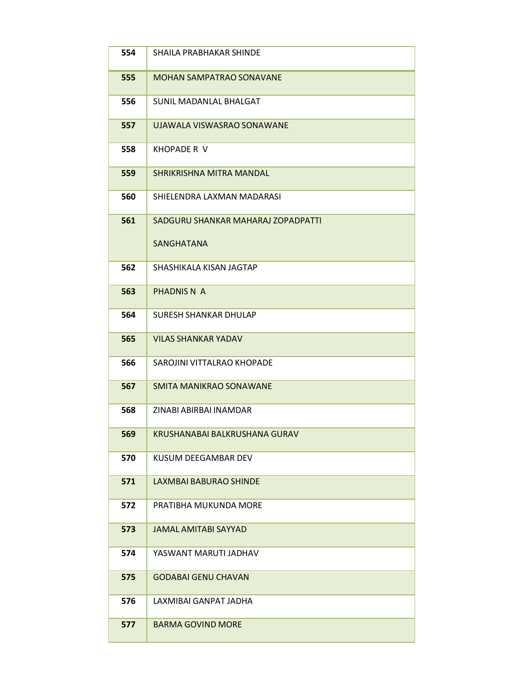| 554 | SHAILA PRABHAKAR SHINDE            |
|-----|------------------------------------|
| 555 | <b>MOHAN SAMPATRAO SONAVANE</b>    |
| 556 | SUNIL MADANLAL BHALGAT             |
| 557 | UJAWALA VISWASRAO SONAWANE         |
| 558 | KHOPADE R V                        |
| 559 | SHRIKRISHNA MITRA MANDAL           |
| 560 | SHIELENDRA LAXMAN MADARASI         |
| 561 | SADGURU SHANKAR MAHARAJ ZOPADPATTI |
|     | <b>SANGHATANA</b>                  |
| 562 | SHASHIKALA KISAN JAGTAP            |
| 563 | PHADNIS N A                        |
| 564 | <b>SURESH SHANKAR DHULAP</b>       |
| 565 | <b>VILAS SHANKAR YADAV</b>         |
| 566 | SAROJINI VITTALRAO KHOPADE         |
| 567 | SMITA MANIKRAO SONAWANE            |
| 568 | ZINABI ABIRBAI INAMDAR             |
| 569 | KRUSHANABAI BALKRUSHANA GURAV      |
| 570 | KUSUM DEEGAMBAR DEV                |
| 571 | LAXMBAI BABURAO SHINDE             |
| 572 | PRATIBHA MUKUNDA MORE              |
| 573 | <b>JAMAL AMITABI SAYYAD</b>        |
| 574 | YASWANT MARUTI JADHAV              |
| 575 | <b>GODABAI GENU CHAVAN</b>         |
| 576 | LAXMIBAI GANPAT JADHA              |
| 577 | <b>BARMA GOVIND MORE</b>           |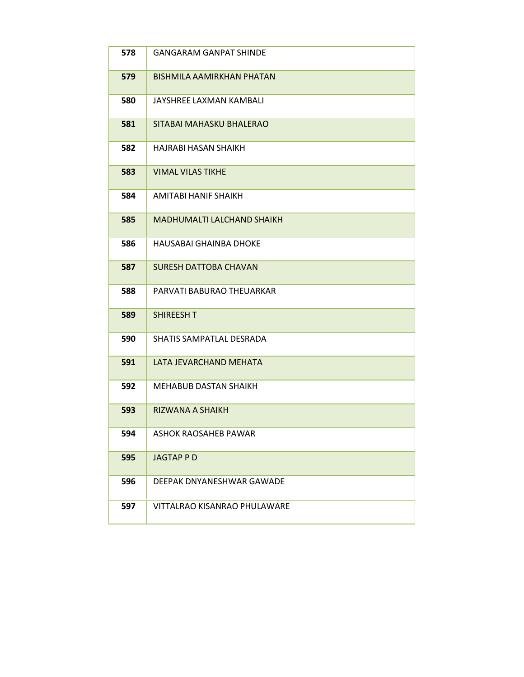| 578 | <b>GANGARAM GANPAT SHINDE</b>     |
|-----|-----------------------------------|
| 579 | <b>BISHMILA AAMIRKHAN PHATAN</b>  |
| 580 | JAYSHREE LAXMAN KAMBALI           |
| 581 | SITABAI MAHASKU BHALERAO          |
| 582 | <b>HAJRABI HASAN SHAIKH</b>       |
| 583 | <b>VIMAL VILAS TIKHE</b>          |
| 584 | AMITABI HANIF SHAIKH              |
| 585 | <b>MADHUMALTI LALCHAND SHAIKH</b> |
| 586 | HAUSABAI GHAINBA DHOKE            |
| 587 | <b>SURESH DATTOBA CHAVAN</b>      |
| 588 | PARVATI BABURAO THEUARKAR         |
| 589 | SHIREESH T                        |
| 590 | SHATIS SAMPATLAL DESRADA          |
| 591 | LATA JEVARCHAND MEHATA            |
| 592 | <b>MEHABUB DASTAN SHAIKH</b>      |
| 593 | RIZWANA A SHAIKH                  |
| 594 | <b>ASHOK RAOSAHEB PAWAR</b>       |
| 595 | <b>JAGTAPPD</b>                   |
| 596 | DEEPAK DNYANESHWAR GAWADE         |
| 597 | VITTALRAO KISANRAO PHULAWARE      |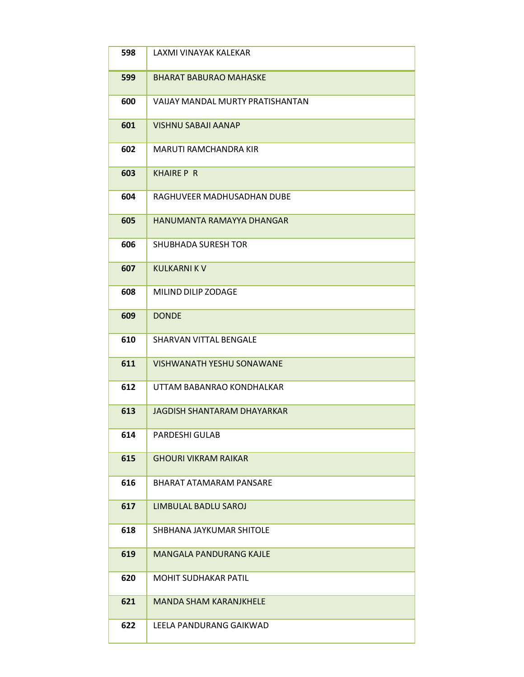| 598 | LAXMI VINAYAK KALEKAR            |
|-----|----------------------------------|
| 599 | <b>BHARAT BABURAO MAHASKE</b>    |
| 600 | VAIJAY MANDAL MURTY PRATISHANTAN |
| 601 | <b>VISHNU SABAJI AANAP</b>       |
| 602 | <b>MARUTI RAMCHANDRA KIR</b>     |
| 603 | <b>KHAIRE P R</b>                |
| 604 | RAGHUVEER MADHUSADHAN DUBE       |
| 605 | HANUMANTA RAMAYYA DHANGAR        |
| 606 | <b>SHUBHADA SURESH TOR</b>       |
| 607 | <b>KULKARNI K V</b>              |
| 608 | MILIND DILIP ZODAGE              |
| 609 | <b>DONDE</b>                     |
| 610 | SHARVAN VITTAL BENGALE           |
| 611 | <b>VISHWANATH YESHU SONAWANE</b> |
| 612 | UTTAM BABANRAO KONDHALKAR        |
| 613 | JAGDISH SHANTARAM DHAYARKAR      |
| 614 | PARDESHI GULAB                   |
| 615 | <b>GHOURI VIKRAM RAIKAR</b>      |
| 616 | BHARAT ATAMARAM PANSARE          |
| 617 | LIMBULAL BADLU SAROJ             |
| 618 | SHBHANA JAYKUMAR SHITOLE         |
| 619 | <b>MANGALA PANDURANG KAJLE</b>   |
| 620 | <b>MOHIT SUDHAKAR PATIL</b>      |
| 621 | <b>MANDA SHAM KARANJKHELE</b>    |
| 622 | LEELA PANDURANG GAIKWAD          |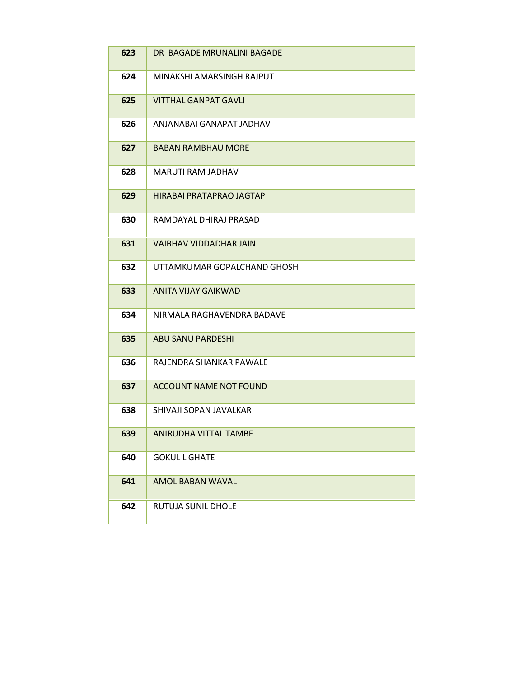| 623 | DR BAGADE MRUNALINI BAGADE    |
|-----|-------------------------------|
| 624 | MINAKSHI AMARSINGH RAJPUT     |
| 625 | <b>VITTHAL GANPAT GAVLI</b>   |
| 626 | ANJANABAI GANAPAT JADHAV      |
| 627 | <b>BABAN RAMBHAU MORE</b>     |
| 628 | MARUTI RAM JADHAV             |
| 629 | HIRABAI PRATAPRAO JAGTAP      |
| 630 | RAMDAYAL DHIRAJ PRASAD        |
| 631 | <b>VAIBHAV VIDDADHAR JAIN</b> |
| 632 | UTTAMKUMAR GOPALCHAND GHOSH   |
| 633 | ANITA VIJAY GAIKWAD           |
| 634 | NIRMALA RAGHAVENDRA BADAVE    |
| 635 | <b>ABU SANU PARDESHI</b>      |
| 636 | RAJENDRA SHANKAR PAWALE       |
| 637 | <b>ACCOUNT NAME NOT FOUND</b> |
| 638 | SHIVAJI SOPAN JAVALKAR        |
| 639 | ANIRUDHA VITTAL TAMBE         |
| 640 | <b>GOKUL L GHATE</b>          |
| 641 | AMOL BABAN WAVAL              |
| 642 | RUTUJA SUNIL DHOLE            |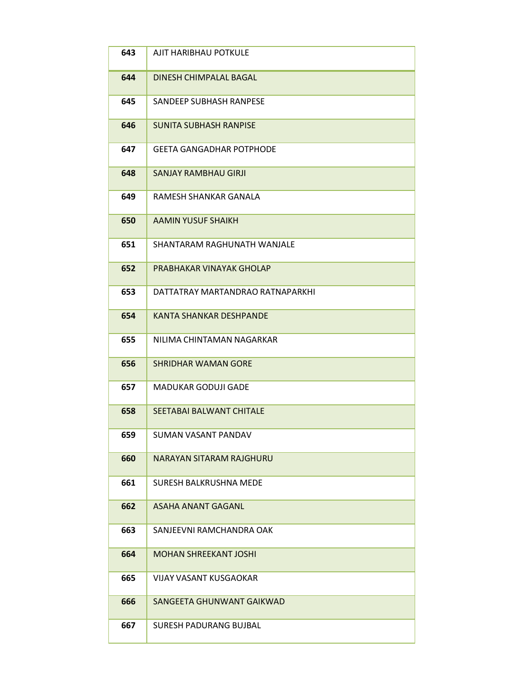| 643 | AJIT HARIBHAU POTKULE            |
|-----|----------------------------------|
| 644 | DINESH CHIMPALAL BAGAL           |
| 645 | SANDEEP SUBHASH RANPESE          |
| 646 | <b>SUNITA SUBHASH RANPISE</b>    |
| 647 | <b>GFFTA GANGADHAR POTPHODF</b>  |
| 648 | <b>SANJAY RAMBHAU GIRJI</b>      |
| 649 | RAMESH SHANKAR GANALA            |
| 650 | <b>AAMIN YUSUF SHAIKH</b>        |
| 651 | SHANTARAM RAGHUNATH WANJALF      |
| 652 | PRABHAKAR VINAYAK GHOLAP         |
| 653 | DATTATRAY MARTANDRAO RATNAPARKHI |
| 654 | <b>KANTA SHANKAR DESHPANDE</b>   |
| 655 | NILIMA CHINTAMAN NAGARKAR        |
| 656 | <b>SHRIDHAR WAMAN GORE</b>       |
| 657 | <b>MADUKAR GODUJI GADE</b>       |
| 658 | SFFTABAI BALWANT CHITALF         |
| 659 | <b>SUMAN VASANT PANDAV</b>       |
| 660 | <b>NARAYAN SITARAM RAJGHURU</b>  |
| 661 | SURESH BALKRUSHNA MEDE           |
| 662 | <b>ASAHA ANANT GAGANL</b>        |
| 663 | SANJEEVNI RAMCHANDRA OAK         |
| 664 | <b>MOHAN SHREEKANT JOSHI</b>     |
| 665 | <b>VIJAY VASANT KUSGAOKAR</b>    |
| 666 | SANGEETA GHUNWANT GAIKWAD        |
| 667 | SURESH PADURANG BUJBAL           |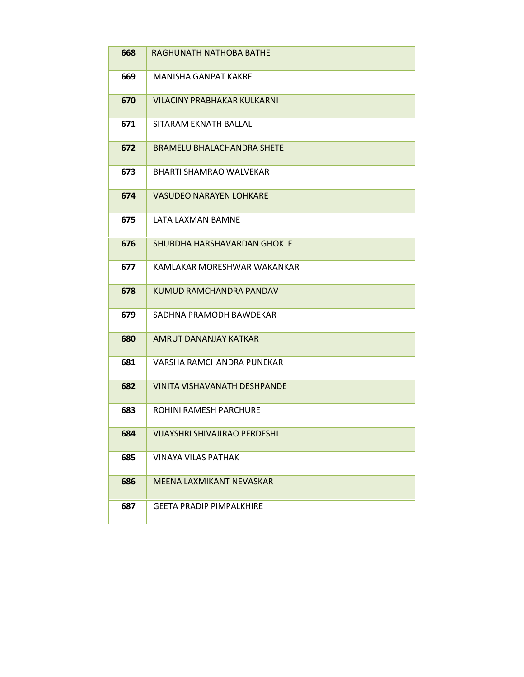| 668 | RAGHUNATH NATHOBA BATHE              |
|-----|--------------------------------------|
| 669 | MANISHA GANPAT KAKRE                 |
| 670 | VILACINY PRABHAKAR KULKARNI          |
| 671 | SITARAM EKNATH BALLAL                |
| 672 | <b>BRAMELU BHALACHANDRA SHETE</b>    |
| 673 | <b>BHARTI SHAMRAO WALVEKAR</b>       |
| 674 | <b>VASUDEO NARAYEN LOHKARE</b>       |
| 675 | LATA LAXMAN BAMNE                    |
| 676 | SHUBDHA HARSHAVARDAN GHOKLE          |
| 677 | KAMLAKAR MORESHWAR WAKANKAR          |
| 678 | KUMUD RAMCHANDRA PANDAV              |
| 679 | SADHNA PRAMODH BAWDEKAR              |
| 680 | AMRUT DANANJAY KATKAR                |
| 681 | VARSHA RAMCHANDRA PUNEKAR            |
| 682 | <b>VINITA VISHAVANATH DESHPANDE</b>  |
| 683 | ROHINI RAMESH PARCHURE               |
| 684 | <b>VIJAYSHRI SHIVAJIRAO PERDESHI</b> |
| 685 | <b>VINAYA VILAS PATHAK</b>           |
| 686 | MEENA LAXMIKANT NEVASKAR             |
| 687 | <b>GEETA PRADIP PIMPALKHIRE</b>      |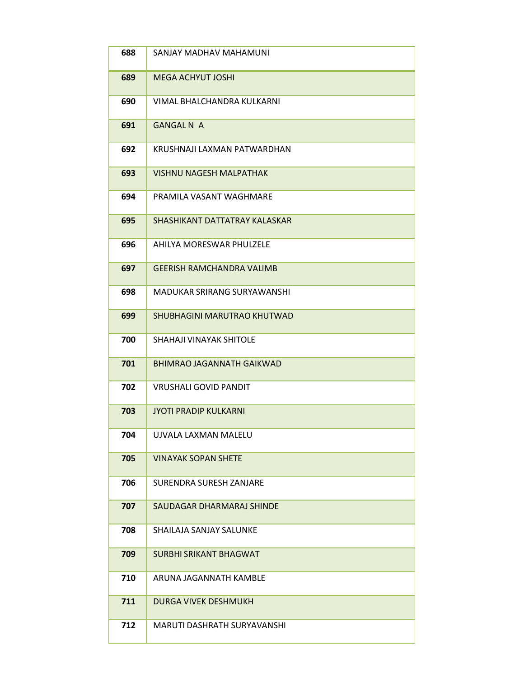| 688 | SANJAY MADHAV MAHAMUNI           |
|-----|----------------------------------|
| 689 | MEGA ACHYUT JOSHI                |
| 690 | VIMAL BHALCHANDRA KULKARNI       |
| 691 | <b>GANGAL N A</b>                |
| 692 | KRUSHNAJI LAXMAN PATWARDHAN      |
| 693 | <b>VISHNU NAGESH MALPATHAK</b>   |
| 694 | PRAMILA VASANT WAGHMARE          |
| 695 | SHASHIKANT DATTATRAY KALASKAR    |
| 696 | AHILYA MORESWAR PHULZELE         |
| 697 | <b>GEERISH RAMCHANDRA VALIMB</b> |
| 698 | MADUKAR SRIRANG SURYAWANSHI      |
| 699 | SHUBHAGINI MARUTRAO KHUTWAD      |
| 700 | SHAHAJI VINAYAK SHITOLE          |
| 701 | BHIMRAO JAGANNATH GAIKWAD        |
| 702 | <b>VRUSHALI GOVID PANDIT</b>     |
| 703 | <b>JYOTI PRADIP KULKARNI</b>     |
| 704 | UJVALA LAXMAN MALELU             |
| 705 | <b>VINAYAK SOPAN SHETE</b>       |
| 706 | <b>SURENDRA SURESH ZANJARE</b>   |
| 707 | SAUDAGAR DHARMARAJ SHINDE        |
| 708 | SHAILAJA SANJAY SALUNKE          |
| 709 | <b>SURBHI SRIKANT BHAGWAT</b>    |
| 710 | ARUNA JAGANNATH KAMBLE           |
| 711 | <b>DURGA VIVEK DESHMUKH</b>      |
| 712 | MARUTI DASHRATH SURYAVANSHI      |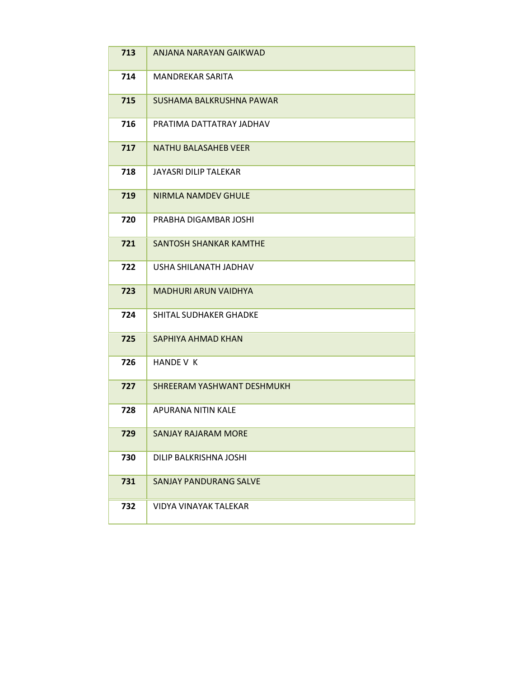| 713 | ANJANA NARAYAN GAIKWAD        |
|-----|-------------------------------|
| 714 | <b>MANDREKAR SARITA</b>       |
| 715 | SUSHAMA BALKRUSHNA PAWAR      |
| 716 | PRATIMA DATTATRAY JADHAV      |
| 717 | <b>NATHU BALASAHEB VEER</b>   |
| 718 | JAYASRI DILIP TALEKAR         |
| 719 | NIRMLA NAMDEV GHULE           |
| 720 | PRABHA DIGAMBAR JOSHI         |
| 721 | <b>SANTOSH SHANKAR KAMTHE</b> |
| 722 | USHA SHILANATH JADHAV         |
| 723 | <b>MADHURI ARUN VAIDHYA</b>   |
| 724 | <b>SHITAL SUDHAKER GHADKE</b> |
| 725 | SAPHIYA AHMAD KHAN            |
| 726 | HANDE V K                     |
| 727 | SHREERAM YASHWANT DESHMUKH    |
| 728 | APURANA NITIN KALE            |
| 729 | <b>SANJAY RAJARAM MORE</b>    |
| 730 | DILIP BALKRISHNA JOSHI        |
| 731 | <b>SANJAY PANDURANG SALVE</b> |
| 732 | VIDYA VINAYAK TALEKAR         |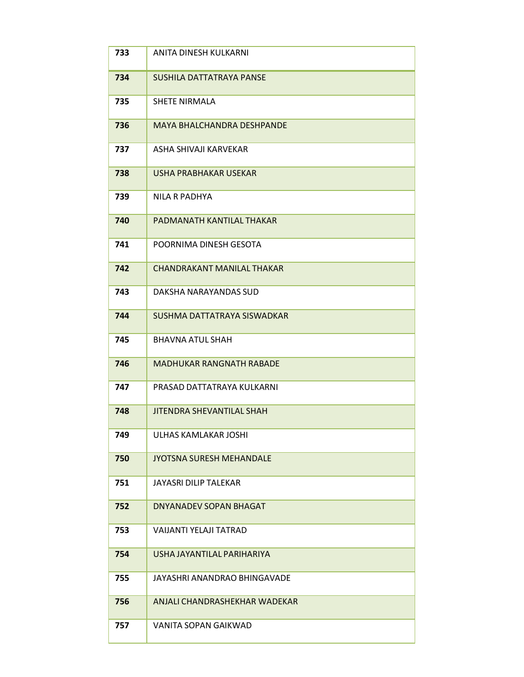| 733 | ANITA DINESH KULKARNI             |
|-----|-----------------------------------|
| 734 | SUSHILA DATTATRAYA PANSE          |
| 735 | <b>SHETE NIRMALA</b>              |
| 736 | <b>MAYA BHALCHANDRA DESHPANDE</b> |
| 737 | ASHA SHIVAJI KARVEKAR             |
| 738 | USHA PRABHAKAR USEKAR             |
| 739 | NILA R PADHYA                     |
| 740 | PADMANATH KANTILAL THAKAR         |
| 741 | POORNIMA DINESH GESOTA            |
| 742 | CHANDRAKANT MANILAL THAKAR        |
| 743 | DAKSHA NARAYANDAS SUD             |
| 744 | SUSHMA DATTATRAYA SISWADKAR       |
| 745 | <b>BHAVNA ATUL SHAH</b>           |
| 746 | <b>MADHUKAR RANGNATH RABADE</b>   |
| 747 | PRASAD DATTATRAYA KULKARNI        |
| 748 | <b>JITENDRA SHEVANTILAL SHAH</b>  |
| 749 | <b>ULHAS KAMLAKAR JOSHI</b>       |
| 750 | <b>JYOTSNA SURESH MEHANDALE</b>   |
| 751 | JAYASRI DILIP TALEKAR             |
| 752 | DNYANADEV SOPAN BHAGAT            |
| 753 | VAIJANTI YELAJI TATRAD            |
| 754 | USHA JAYANTILAL PARIHARIYA        |
| 755 | JAYASHRI ANANDRAO BHINGAVADE      |
| 756 | ANJALI CHANDRASHEKHAR WADEKAR     |
| 757 | VANITA SOPAN GAIKWAD              |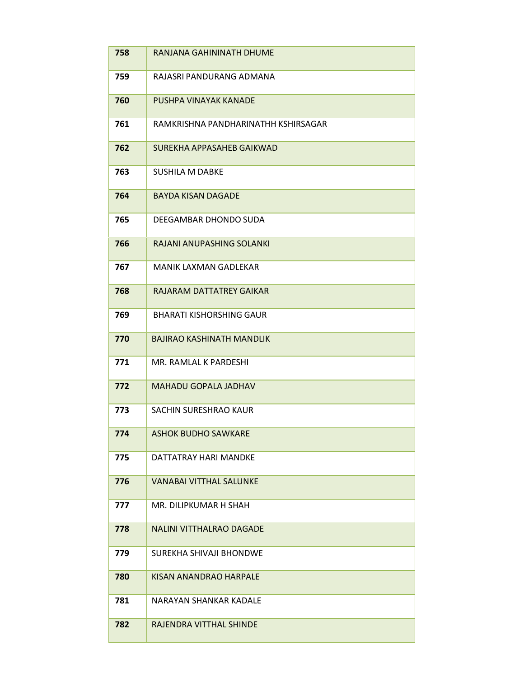| 758 | RANJANA GAHININATH DHUME            |
|-----|-------------------------------------|
| 759 | RAJASRI PANDURANG ADMANA            |
| 760 | PUSHPA VINAYAK KANADE               |
| 761 | RAMKRISHNA PANDHARINATHH KSHIRSAGAR |
| 762 | SUREKHA APPASAHEB GAIKWAD           |
| 763 | <b>SUSHILA M DABKE</b>              |
| 764 | <b>BAYDA KISAN DAGADE</b>           |
| 765 | DEEGAMBAR DHONDO SUDA               |
| 766 | RAJANI ANUPASHING SOLANKI           |
| 767 | <b>MANIK LAXMAN GADLEKAR</b>        |
| 768 | RAJARAM DATTATREY GAIKAR            |
| 769 | <b>BHARATI KISHORSHING GAUR</b>     |
| 770 | <b>BAJIRAO KASHINATH MANDLIK</b>    |
| 771 | MR. RAMLAL K PARDESHI               |
| 772 | <b>MAHADU GOPALA JADHAV</b>         |
| 773 | SACHIN SURESHRAO KAUR               |
| 774 | <b>ASHOK BUDHO SAWKARE</b>          |
| 775 | DATTATRAY HARI MANDKE               |
| 776 | <b>VANABAI VITTHAL SALUNKE</b>      |
| 777 | MR. DILIPKUMAR H SHAH               |
| 778 | <b>NALINI VITTHALRAO DAGADE</b>     |
| 779 | SUREKHA SHIVAJI BHONDWE             |
| 780 | KISAN ANANDRAO HARPALE              |
| 781 | NARAYAN SHANKAR KADALE              |
| 782 | RAJENDRA VITTHAL SHINDE             |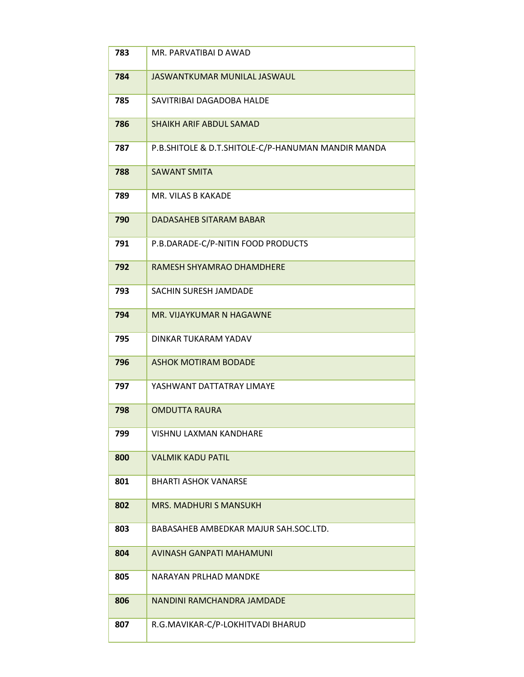| 783 | MR. PARVATIBAI D AWAD                              |
|-----|----------------------------------------------------|
| 784 | JASWANTKUMAR MUNILAL JASWAUL                       |
| 785 | SAVITRIBAI DAGADOBA HALDE                          |
| 786 | <b>SHAIKH ARIF ABDUL SAMAD</b>                     |
| 787 | P.B.SHITOLE & D.T.SHITOLE-C/P-HANUMAN MANDIR MANDA |
| 788 | <b>SAWANT SMITA</b>                                |
| 789 | MR. VILAS B KAKADE                                 |
| 790 | DADASAHEB SITARAM BABAR                            |
| 791 | P.B.DARADE-C/P-NITIN FOOD PRODUCTS                 |
| 792 | RAMESH SHYAMRAO DHAMDHERE                          |
| 793 | SACHIN SURESH JAMDADE                              |
| 794 | MR. VIJAYKUMAR N HAGAWNE                           |
| 795 | DINKAR TUKARAM YADAV                               |
| 796 | <b>ASHOK MOTIRAM BODADE</b>                        |
| 797 | YASHWANT DATTATRAY LIMAYE                          |
| 798 | <b>OMDUTTA RAURA</b>                               |
| 799 | <b>VISHNU LAXMAN KANDHARE</b>                      |
| 800 | <b>VALMIK KADU PATIL</b>                           |
| 801 | <b>BHARTI ASHOK VANARSE</b>                        |
| 802 | <b>MRS. MADHURI S MANSUKH</b>                      |
| 803 | BABASAHEB AMBEDKAR MAJUR SAH.SOC.LTD.              |
| 804 | AVINASH GANPATI MAHAMUNI                           |
| 805 | NARAYAN PRLHAD MANDKE                              |
| 806 | NANDINI RAMCHANDRA JAMDADE                         |
| 807 | R.G.MAVIKAR-C/P-LOKHITVADI BHARUD                  |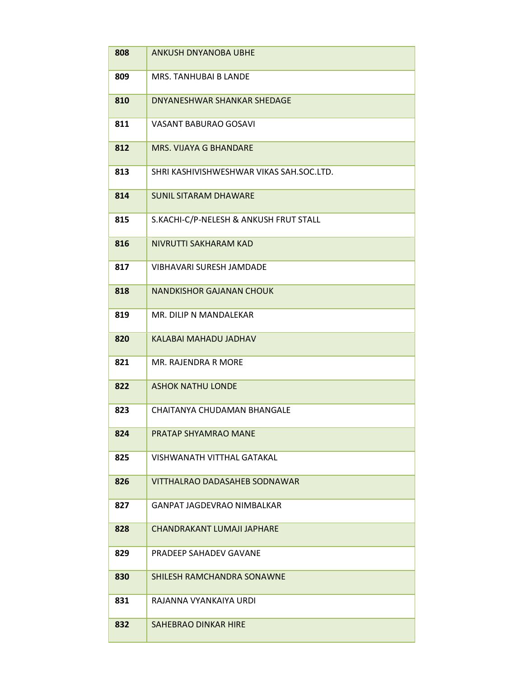| 808 | <b>ANKUSH DNYANOBA UBHE</b>              |
|-----|------------------------------------------|
| 809 | <b>MRS. TANHUBAI B LANDE</b>             |
| 810 | DNYANESHWAR SHANKAR SHEDAGE              |
| 811 | VASANT BABURAO GOSAVI                    |
| 812 | MRS. VIJAYA G BHANDARE                   |
| 813 | SHRI KASHIVISHWESHWAR VIKAS SAH.SOC.LTD. |
| 814 | <b>SUNIL SITARAM DHAWARE</b>             |
| 815 | S.KACHI-C/P-NELESH & ANKUSH FRUT STALL   |
| 816 | NIVRUTTI SAKHARAM KAD                    |
| 817 | <b>VIBHAVARI SURESH JAMDADE</b>          |
| 818 | <b>NANDKISHOR GAJANAN CHOUK</b>          |
| 819 | MR. DILIP N MANDALEKAR                   |
| 820 | KALABAI MAHADU JADHAV                    |
| 821 | MR. RAJENDRA R MORE                      |
| 822 | <b>ASHOK NATHU LONDE</b>                 |
| 823 | CHAITANYA CHUDAMAN BHANGALE              |
| 824 | PRATAP SHYAMRAO MANE                     |
| 825 | VISHWANATH VITTHAL GATAKAL               |
| 826 | VITTHALRAO DADASAHEB SODNAWAR            |
| 827 | GANPAT JAGDEVRAO NIMBALKAR               |
| 828 | CHANDRAKANT LUMAJI JAPHARE               |
| 829 | <b>PRADEEP SAHADEV GAVANE</b>            |
| 830 | SHILESH RAMCHANDRA SONAWNE               |
| 831 | RAJANNA VYANKAIYA URDI                   |
| 832 | SAHEBRAO DINKAR HIRE                     |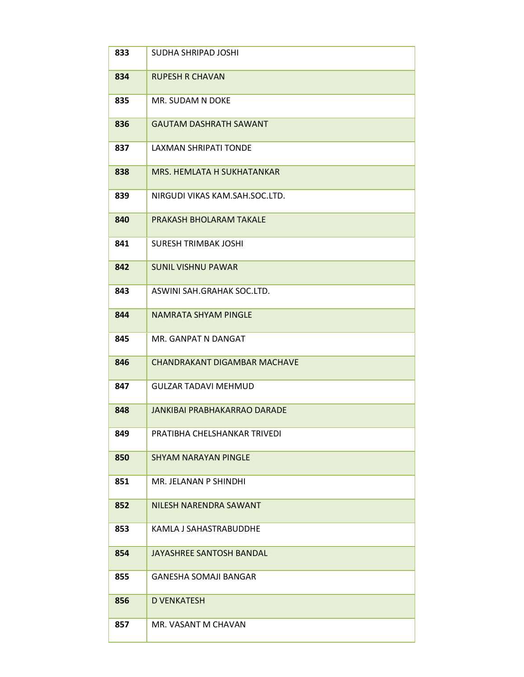| 833 | <b>SUDHA SHRIPAD JOSHI</b>     |
|-----|--------------------------------|
| 834 | <b>RUPESH R CHAVAN</b>         |
| 835 | MR. SUDAM N DOKE               |
| 836 | <b>GAUTAM DASHRATH SAWANT</b>  |
| 837 | LAXMAN SHRIPATI TONDE          |
| 838 | MRS. HEMLATA H SUKHATANKAR     |
| 839 | NIRGUDI VIKAS KAM.SAH.SOC.LTD. |
| 840 | PRAKASH BHOLARAM TAKALE        |
| 841 | <b>SURESH TRIMBAK JOSHI</b>    |
| 842 | <b>SUNIL VISHNU PAWAR</b>      |
| 843 | ASWINI SAH.GRAHAK SOC.LTD.     |
| 844 | NAMRATA SHYAM PINGLE           |
| 845 | MR. GANPAT N DANGAT            |
| 846 | CHANDRAKANT DIGAMBAR MACHAVE   |
| 847 | <b>GULZAR TADAVI MEHMUD</b>    |
| 848 | JANKIBAI PRABHAKARRAO DARADE   |
| 849 | PRATIBHA CHELSHANKAR TRIVEDI   |
| 850 | <b>SHYAM NARAYAN PINGLE</b>    |
| 851 | MR. JELANAN P SHINDHI          |
| 852 | NILESH NARENDRA SAWANT         |
| 853 | KAMLA J SAHASTRABUDDHE         |
| 854 | JAYASHREE SANTOSH BANDAL       |
| 855 | <b>GANESHA SOMAJI BANGAR</b>   |
| 856 | <b>D VENKATESH</b>             |
| 857 | MR. VASANT M CHAVAN            |